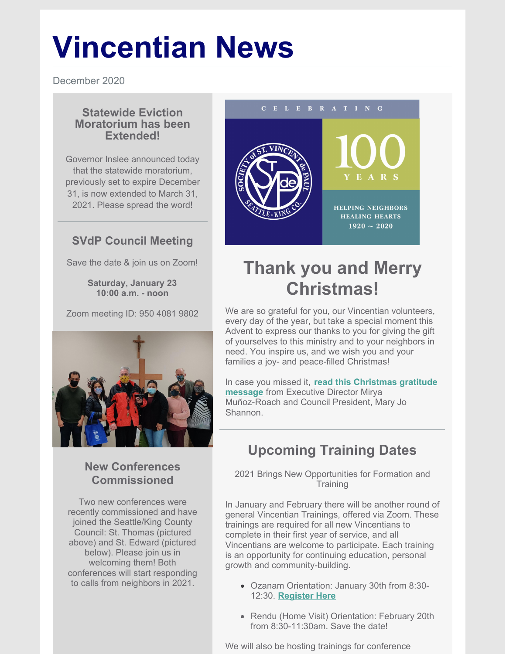# **Vincentian News**

December 2020

#### **Statewide Eviction Moratorium has been Extended!**

Governor Inslee announced today that the statewide moratorium, previously set to expire December 31, is now extended to March 31, 2021. Please spread the word!

#### **SVdP Council Meeting**

Save the date & join us on Zoom!

**Saturday, January 23 10:00 a.m. - noon**

Zoom meeting ID: 950 4081 9802



#### **New Conferences Commissioned**

Two new conferences were recently commissioned and have joined the Seattle/King County Council: St. Thomas (pictured above) and St. Edward (pictured below). Please join us in welcoming them! Both conferences will start responding to calls from neighbors in 2021.



# **Thank you and Merry Christmas!**

We are so grateful for you, our Vincentian volunteers, every day of the year, but take a special moment this Advent to express our thanks to you for giving the gift of yourselves to this ministry and to your neighbors in need. You inspire us, and we wish you and your families a joy- and peace-filled Christmas!

In case you missed it, **read this [Christmas](https://svdpseattlemembers.net/christmas-gratitude-message-to-vincentians/) gratitude message** from Executive Director Mirya Muñoz-Roach and Council President, Mary Jo Shannon.

# **Upcoming Training Dates**

2021 Brings New Opportunities for Formation and **Training** 

In January and February there will be another round of general Vincentian Trainings, offered via Zoom. These trainings are required for all new Vincentians to complete in their first year of service, and all Vincentians are welcome to participate. Each training is an opportunity for continuing education, personal growth and community-building.

- Ozanam Orientation: January 30th from 8:30- 12:30. **[Register](https://www.eventbrite.com/e/virtual-ozanam-orientation-tickets-131619861549) Here**
- Rendu (Home Visit) Orientation: February 20th from 8:30-11:30am. Save the date!

We will also be hosting trainings for conference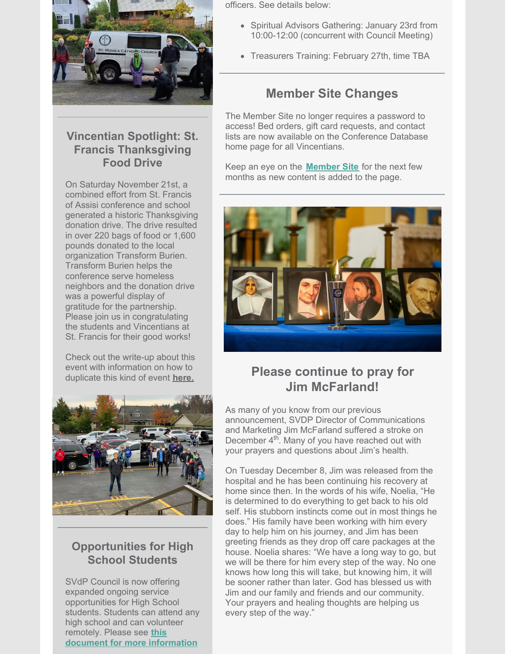

#### **Vincentian Spotlight: St. Francis Thanksgiving Food Drive**

On Saturday November 21st, a combined effort from St. Francis of Assisi conference and school generated a historic Thanksgiving donation drive. The drive resulted in over 220 bags of food or 1,600 pounds donated to the local organization Transform Burien. Transform Burien helps the conference serve homeless neighbors and the donation drive was a powerful display of gratitude for the partnership. Please join us in congratulating the students and Vincentians at St. Francis for their good works!

Check out the write-up about this event with information on how to duplicate this kind of event **[here.](https://svdpseattlemembers.net/st-francis-food-drive-write-up/)**



#### **Opportunities for High School Students**

SVdP Council is now offering expanded ongoing service opportunities for High School students. Students can attend any high school and can volunteer remotely. Please see **this document for more [information](https://files.constantcontact.com/67f3c7ac701/a8382a49-0ccd-4015-a446-2de0bd3560ee.pdf)**

officers. See details below:

- Spiritual Advisors Gathering: January 23rd from 10:00-12:00 (concurrent with Council Meeting)
- **Treasurers Training: February 27th, time TBA**

## **Member Site Changes**

The Member Site no longer requires a password to access! Bed orders, gift card requests, and contact lists are now available on the Conference Database home page for all Vincentians.

Keep an eye on the **[Member](https://svdpseattlemembers.net/) Site** for the next few months as new content is added to the page.



## **Please continue to pray for Jim McFarland!**

As many of you know from our previous announcement, SVDP Director of Communications and Marketing Jim McFarland suffered a stroke on December 4<sup>th</sup>. Many of you have reached out with your prayers and questions about Jim's health.

On Tuesday December 8, Jim was released from the hospital and he has been continuing his recovery at home since then. In the words of his wife, Noelia, "He is determined to do everything to get back to his old self. His stubborn instincts come out in most things he does." His family have been working with him every day to help him on his journey, and Jim has been greeting friends as they drop off care packages at the house. Noelia shares: "We have a long way to go, but we will be there for him every step of the way. No one knows how long this will take, but knowing him, it will be sooner rather than later. God has blessed us with Jim and our family and friends and our community. Your prayers and healing thoughts are helping us every step of the way."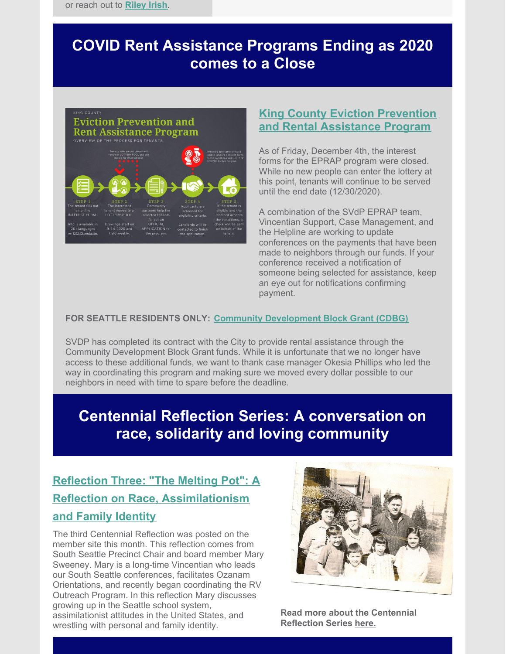# **COVID Rent Assistance Programs Ending as 2020 comes to a Close**



#### **King County Eviction [Prevention](https://kingcounty.gov/depts/community-human-services/COVID/eviction-prevention-rent-assistance.aspx) and Rental Assistance Program**

As of Friday, December 4th, the interest forms for the EPRAP program were closed. While no new people can enter the lottery at this point, tenants will continue to be served until the end date (12/30/2020).

A combination of the SVdP EPRAP team, Vincentian Support, Case Management, and the Helpline are working to update conferences on the payments that have been made to neighbors through our funds. If your conference received a notification of someone being selected for assistance, keep an eye out for notifications confirming payment.

#### **FOR SEATTLE RESIDENTS ONLY: Community [Development](https://svdpseattlemembers.net/community-block-development-grant-cbdg-rental-assistance-for-seattle-residents/) Block Grant (CDBG)**

SVDP has completed its contract with the City to provide rental assistance through the Community Development Block Grant funds. While it is unfortunate that we no longer have access to these additional funds, we want to thank case manager Okesia Phillips who led the way in coordinating this program and making sure we moved every dollar possible to our neighbors in need with time to spare before the deadline.

## **Centennial Reflection Series: A conversation on race, solidarity and loving community**

## **Reflection Three: "The Melting Pot": A Reflection on Race, [Assimilationism](https://svdpseattlemembers.net/the-melting-pot-a-reflection-on-race-assimilationism-and-family-identity/) and Family Identity**

The third Centennial Reflection was posted on the member site this month. This reflection comes from South Seattle Precinct Chair and board member Mary Sweeney. Mary is a long-time Vincentian who leads our South Seattle conferences, facilitates Ozanam Orientations, and recently began coordinating the RV Outreach Program. In this reflection Mary discusses growing up in the Seattle school system, assimilationist attitudes in the United States, and wrestling with personal and family identity.



**Read more about the Centennial Reflection Series [here.](https://svdpseattlemembers.net/svdp-centennial-reflections-a-conversation-on-race-solidarity-and-loving-community/)**